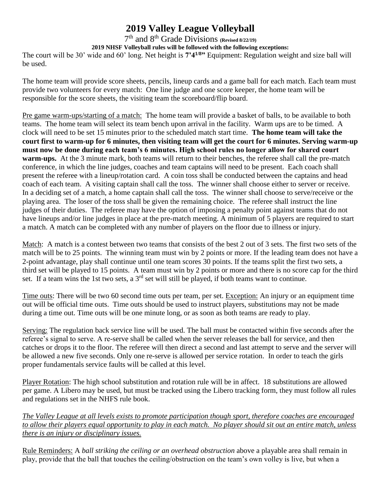## **2019 Valley League Volleyball**

7 th and 8th Grade Divisions **(Revised 8/22/19)**

**2019 NHSF Volleyball rules will be followed with the following exceptions:**

The court will be 30' wide and 60' long. Net height is **7'41/8"** Equipment: Regulation weight and size ball will be used.

The home team will provide score sheets, pencils, lineup cards and a game ball for each match. Each team must provide two volunteers for every match: One line judge and one score keeper, the home team will be responsible for the score sheets, the visiting team the scoreboard/flip board.

Pre game warm-ups/starting of a match: The home team will provide a basket of balls, to be available to both teams. The home team will select its team bench upon arrival in the facility. Warm ups are to be timed. A clock will need to be set 15 minutes prior to the scheduled match start time. **The home team will take the court first to warm-up for 6 minutes, then visiting team will get the court for 6 minutes. Serving warm-up must now be done during each team's 6 minutes. High school rules no longer allow for shared court warm-ups.** At the 3 minute mark, both teams will return to their benches, the referee shall call the pre-match conference, in which the line judges, coaches and team captains will need to be present. Each coach shall present the referee with a lineup/rotation card. A coin toss shall be conducted between the captains and head coach of each team. A visiting captain shall call the toss. The winner shall choose either to server or receive. In a deciding set of a match, a home captain shall call the toss. The winner shall choose to serve/receive or the playing area. The loser of the toss shall be given the remaining choice. The referee shall instruct the line judges of their duties. The referee may have the option of imposing a penalty point against teams that do not have lineups and/or line judges in place at the pre-match meeting. A minimum of 5 players are required to start a match. A match can be completed with any number of players on the floor due to illness or injury.

Match: A match is a contest between two teams that consists of the best 2 out of 3 sets. The first two sets of the match will be to 25 points. The winning team must win by 2 points or more. If the leading team does not have a 2-point advantage, play shall continue until one team scores 30 points. If the teams split the first two sets, a third set will be played to 15 points. A team must win by 2 points or more and there is no score cap for the third set. If a team wins the 1st two sets, a  $3<sup>rd</sup>$  set will still be played, if both teams want to continue.

Time outs: There will be two 60 second time outs per team, per set. Exception: An injury or an equipment time out will be official time outs. Time outs should be used to instruct players, substitutions may not be made during a time out. Time outs will be one minute long, or as soon as both teams are ready to play.

Serving: The regulation back service line will be used. The ball must be contacted within five seconds after the referee's signal to serve. A re-serve shall be called when the server releases the ball for service, and then catches or drops it to the floor. The referee will then direct a second and last attempt to serve and the server will be allowed a new five seconds. Only one re-serve is allowed per service rotation. In order to teach the girls proper fundamentals service faults will be called at this level.

Player Rotation: The high school substitution and rotation rule will be in affect. 18 substitutions are allowed per game. A Libero may be used, but must be tracked using the Libero tracking form, they must follow all rules and regulations set in the NHFS rule book.

*The Valley League at all levels exists to promote participation though sport, therefore coaches are encouraged to allow their players equal opportunity to play in each match. No player should sit out an entire match, unless there is an injury or disciplinary issues.*

Rule Reminders: A *ball striking the ceiling or an overhead obstruction* above a playable area shall remain in play, provide that the ball that touches the ceiling/obstruction on the team's own volley is live, but when a